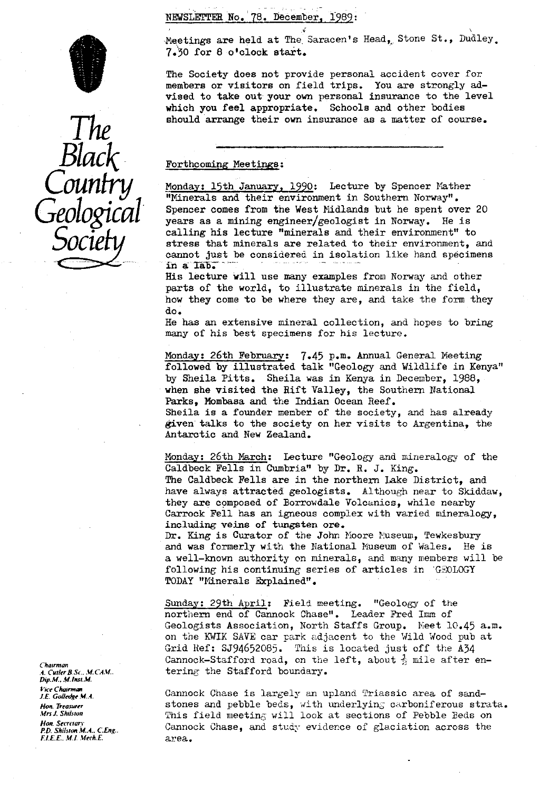NEWSLETTER No. 78. December. 1989:



Meetings are held at The Saracen's Head, Stone St., Dudley. 7.30 for 8 o'clock start.

The Society does not provide personal accident cover for members or visitors on field trips. You are strongly advised to take out your own personal insurance to the level which you feel appropriate. Schools and other bodies should arrange their own insurance as a matter of course.

#### Forthcoming Meetings:

Monday: 15th January, 1990: Lecture by Spencer Mather **\***Minerals and their environment in Southern Norway".<br>Spencer comes from the West Midlands but he spent over 20 Geological Spencer comes from the West Midlands but he spent over 20<br>ears as a mining engineer/geologist in Norway. He is **Society** calling his lecture "minerals and their environment" to<br>cannot just be considered in isolation like hand speciment cannot just be considered in isolation like hand specimens in a lab.

> His lecture will use many examples from Norway and other parts of the world, to illustrate minerals in the field, how they come to be where they are, and take the form they do.

> He has an extensive mineral collection, and hopes to bring many of his best specimens for his lecture.

Monday: 26th February: 7.45 p.m. Annual General Meeting followed by illustrated talk "Geology and Wildlife in Kenya" by Sheila Pitts. Sheila was in Kenya in December, 1988, when she visited the Rift Valley, the Southern National Parks, Mombasa and the Indian Ocean Reef. Sheila is a founder member of the society, and has already given talks to the society on her visits to Argentina, the Antarctic and New Zealand.

Monday: 26th March: Lecture "Geology and mineralogy of the Caldbeck Fells in Cumbria" by Dr. R. J. King. The Caldbeck Fells are in the northern Take District, and have always attracted geologists. Although near to Skiddaw, they are composed of Borrowdale Voleanics, while nearby Carrock Fell has an igneous complex with varied mineralogy, including veins of tungsten ore.

Dr. King is Curator of the John Moore Museum, Tewkesbury and was formerly with the Rational Museum of Wales. He is a well-known authority on minerals, and many members will be following his continuing series of articles in GEOLOGY TODAY "Minerals Explained".

Sunday: 29th April: Field meeting. "Geology of the northern end of Cannock Chase". Leader Fred Imm of Geologists Association, North Staffs Group. Meet 10.45 a.m. on the KWIK SAVE car park adjacent to the Wild Wood pub at Grid Ref: SJ94652085. This is located just off the A34 Chairman Cannock–Stafford road, on the left, about <sup>1</sup>/<sub>2</sub> mile after en-<br>A. Culler B.Sc., M.CAM. tering the Stafford boundary. tering the Stafford boundary.

Vice Chairman<br>*I.E. Golledge M.A.* **Cannock Chase is largely** an upland Triassic area of sand-Hon Treasurer stones and pebble beds, with underlying carboniferous strata.<br>Mrs. Shilston strate and the study weather will look at sections of Pebble Beds on *Mrs J. Shrlsfon* This field meeting: will look at sections of Pebble Beds on Cannock Chase, and study evidence of glaciation across the area.

*Dip.M.. M.Insr.M.* Hon. Secrerar*i F.D. Shilston M.A.*, C.Eng..<br>F.I.E.E., M.I. Mech.E.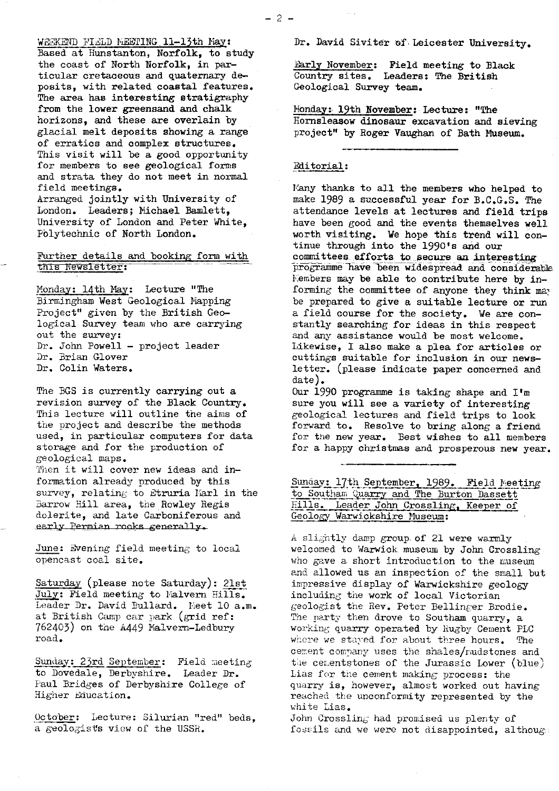WEEKEND FIELD MEETING 11-13th May: Based at Hunstanton, Norfolk, to study the coast of North Norfolk, in particular cretaceous and quaternary deposits, with related coastal features. The area has interesting stratigraphy from the lower greensand and chalk horizons, and these are overlain by glacial melt deposits showing a range of erratics and complex structures. This visit will be a good opportunity for members to see geological forms and strata they do not meet in normal field meetings.

Arranged jointly with University of London. Leaders; Michael Bamlett, University of London and Peter White, Polytechnic of North London.

# Further details and booking form with this Newsletter:

Monday: 14th Nay: Lecture "The Birmingham West Geological Mapping Project" given by the British Geological **Survey** team who are carrying out the survey: Dr. John Powell - project leader Dr. Brian Glover Dr. Colin Waters.

The BGS is currently carrying out a revision survey of the Black Country. This lecture will outline the aims of the project and describe the methods used, in particular computers for data storage and for the production of geological maps.

Then it will cover new ideas and information already produced by this survey, relating to Etruria Marl in the Barrow Hill area, the Rowley Regis dolerite, and late Carboniferous and early Permian rooks generally.

June: Evening field meeting to local opencast coal site.

Saturday (please note Saturday): 21st July: Field meeting to Malvern Hills. Saturday (please note Saturday): <u>21st<br>July</u>: Field meeting to Malvern Hills.<br>Leader Dr. David Bullard. Meet 10 a.m.<br>at British Camp car park (grid ref: 762403) on the A449 Malvern-Ledbury road.

Sunday: 23rd September: Field meeting to Dovedale, Derbyshire. Leader Dr. Paul Bridges of Derbyshire College of Higher Education.

October: Lecture: Silurian "red" beds. a geologists view of the USSR.

Dr. David Siviter of Leicester University.

Early November: Field meeting to Black Country sites. Leaders: The British Geological Survey team.

Honday: 19th November: Lecture: "The Hornsleasow dinosaur excavation and sieving project" by Roger Vaughan of Bath Museum.

#### Editorial :

Many thanks to all the members who helped to make 1989 a successful year for B.C.G.S. The attendance levels at lectures and field trips have been good and the events themselves well worth visiting. We hope this trend will continue through into the 1990's and our committees efforts to secure an interesting programme have been widespread and considerable <sup>I</sup> embers may be able to contribute here by informing the committee of anyone they think ma, be prepared to give a suitable lecture or run a field course for the society. We are constantly searching for ideas in this respect and an<sup>y</sup> assistance would be most welcome. Likewise, I also make a plea for articles or cuttings suitable for inclusion in our newsletter. (please indicate paper concerned and date).

Our 1990 programme is taking shape and I'm sure you will see a variety of interesting geological lectures and field trips to look forward to. Resolve to bring along a friend for the new year. Best wishes to all members for a happy christmas and prosperous new year.

Sunday: 17th September, 1989. Field Meeti to Southam Quarry and The Burton Dassett Hills. Leader John Crossling, Keeper of Geology Warwickshire Museum:

A slightly damp group of 21 were warmly welcomed to Warwick museum by John Crossling who gave a short introduction to the museum and allowed us an inspection of the small but impressive display of Warwickshire geology including the work of local Victorian geologist the Rev. Peter Bellinger Brodie. The party then drove to Southam quarry, a working quarry operated by Rugby Cement PLC where we stayed for about three hours. The cement conmany uses the shales/rudstones and the cer.entstones of the Jurassic Lower (blue) Lias for the cement making process: the quarry is, however, almost worked out having reached the unconformity represented by the white Lias.

John Crossling had promised us plenty of fossils and we were not disappointed, although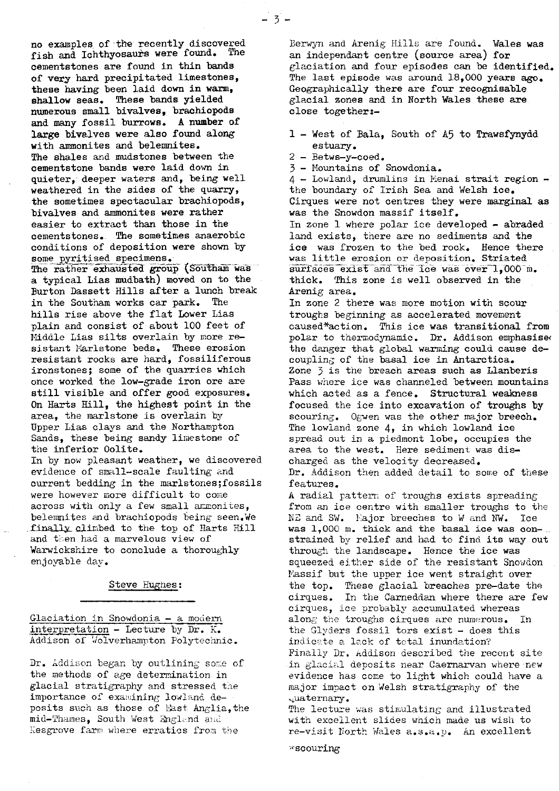no examples of-the recently discovered fish and Ichthyosaurs were found. The cementstones are found in thin bands of very hard precipitated limestones, these having been laid down in warm, shallow seas. These bands yielded numerous small bivalves, brachiopods and many fossil burrows. A number of large bivalves were also found along with ammonites and belemnites. The shales and mudstones between the oementstone bands were laid down in quieter, deeper waters and, being well weathered in the sides of the quarry, the sometimes spectacular brachiopods, bivalves and ammonites were rather easier to extract than those in the cementstones. The sometimes anaerobic conditions of deposition were shown by some pyritised specimens. The rather exhausted group (Southam was

a typical Lias mudbath) moved on to the Burton Bassett Hills after a lunch break in the Southam works car park. The hills rise above the flat Lower Lias plain and consist of about 100 feet of Middle Lias silts overlain by more resistant Maristone beds. These erosion resistant rocks are hard, fossiliferous ironstones; some of the quarries which once worked the low-grade iron ore are still visible and offer good exposures. On Harts Hill, the highest point in the area, the marlstone is overlain by Upper has clays and the Northampton Sands, these being sandy limestone of the inferior Oolite.

In by now pleasant weather, we discovered evidence of small-scale faulting and current bedding in the marlstones;fossils were however more difficult to come across with only a few small ammonites, belemnites and brachiopods being seen.We finally climbed to the top of Harts Hill and then had a marvelous view of Warwickshire to conclude a thoroughly enjo<sup>y</sup> able day.

#### Steve Hughes:

Glaciation in Snowdonia - a modern interpretation - Lecture by Dr. H. Addison of Wolverhampton Polytechnic.

Dr. Addison began by outlining some of the methods of age determination\_ in glacial stratigraphy and stressed the importance of examining lowland deposits such as those of East Anglia, the mid-Thames, South West England and <sup>K</sup>esgrove farm where erratics from the

Berwyn and Arenig Hills are found. Wales was an independant centre (source area) for glaciation and four episodes can be identified. The last episode was around 18,000 years ago. Geographically there are four recognisable glacial zones and in North Wales these are close together:-

- 1 West of Bala, South of A5 to Trawsfynydd estuary.
- 2 Betws-y-coed.

 $= 3^{\circ}$ 

3 - Mountains of Snowdonia.

4 - Lowland, drumlins in Kenai strait region the boundary of Irish Sea and Welsh ice. Cirques were not centres they were marginal as was the Snowdon massif itself. In zone 1 where polar ice developed - abraded land exists, there are no sediments and the ice was frozen to the bed rock. Hence there was little erosion or deposition. Striated surfaces exist and the ice was over 1,000 m. thick. This zone is well observed in the Arenig area.

In zone 2 there was more motion with scour troughs beginning as accelerated movement caused\*action. This ice was transitional from polar to thermodynamic. Dr. Addison emphasised the danger that global warming could cause decoupling of the basal ice in Antarctica. Zone  $\overline{3}$  is the breach areas such as Llanberis Pass where ice was channeled between mountains which acted as a fence. Structural weakness focused the ice into excavation of troughs by scouring. Ogwen was the other major breech. The lowland zone 4, in which lowland ice spread out in a piedmont lobe, occupies the area to the west. Here sediment was discharged as the velocity decreased. Dr. Addison then added detail to some of these features.

A radial pattern of troughs exists spreading from an ice centre with smaller troughs to the  $NE$  and SW. Eajor breeches to W and  $\tilde{N}W$ . Ice was 1,000 m. thick and the basal ice was con-.. strained by relief and had to find its way out through the landscape. Hence the ice was squeezed either side of the resistant Snowdon Massif but the upper ice went straight over the top. These glacial breaches pre-date the cirques. In the Carneddan where there are few cirques, ice probably accumulated whereas along the troughs cirques are numerous. In the Glyders fossil tors exist  $-$  does this indicate a lack of total inundation? Finally Dr. Addison described the recent site in glacial deposits near Caernarvan where new evidence has come to light which could have a major impact on Welsh stratigraphy of the uaternary.

The lecture was stimulating and illustrated with excellent slides which made us wish to re-visit North Wales a.s.a.p. An excellent

 $*$  scouring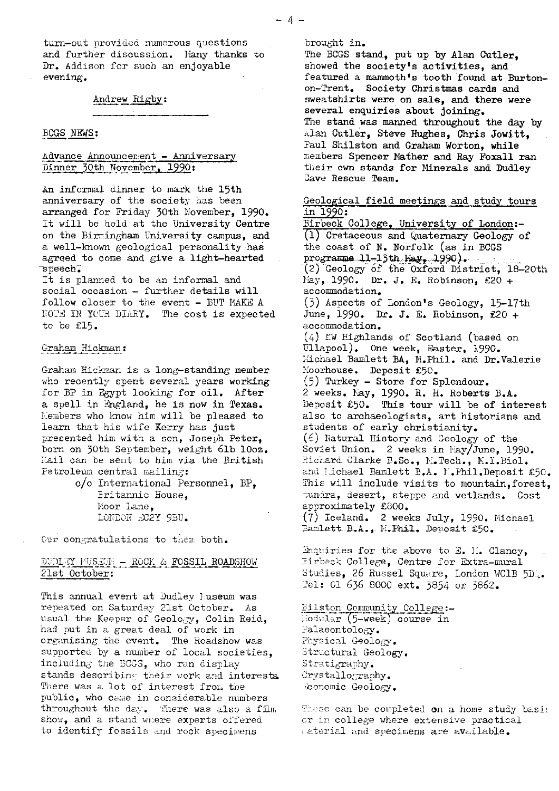### Andrew Rigby:

#### BOGS [NEWS](news:) [:](news:)

## Advance Announcement - Anniversary Dinner 30th November, 1990:

An informal dinner to mark the 15th anniversary of the society has been arranged for Friday 30th November, 1990. It will be held at the University Centre on the Birmingham University campus, and a well-known geological personality has agreed to come and give a light-hearted speech:

It is planned to be an informal and social occasion - further details will follow closer to the event - BUT MAKE A NOVE IN YUUH DIARY. The cost is expected to be C15.

#### Graham Hic

Graham Hickman is a long-standing member who recently spent several years working for BP in Egypt looking for oil. After a spell in England, he is now in Texas. Members who know him will be pleased to learn that his wife Kerry has just presented him with a son, Joseph Peter, born on 30th September, weight 61b 10oz. Hail can be sent to him via the British Petroleum central mailing:

> c/o International Personnel, BP, Eritannic House, Moor Lane, LONDON RC2Y 9BU.

Our congratulations to them both.

# DUDLEY RUSEUN - ROCK & FOSSIL ROADSHOW 21st October:

This annual event at Dudley Lus<mark>eum was</mark> repeated on Saturday 21st October. As usual the Keeper of Geology, Colin Reid, had put in a great deal of work in organising the event. The Roadshow was supported by a number of local societies, including the BOGS, who ran display stands describing their work and interests. There was a lot of interest from the public, who came in considerable numbers throughout the day. There was also a film show, and a stand where experts offered to identify fossils and rock specimens

brought in.

The BCGS stand, put up by Alan Cutler, showed the society's activities, and featured a mammoth's tooth found at Burtonon-Trent. Society Christmas cards and sweatshirts were on sale, and there were several enquiries about joining. The stand was manned throughout the day by Alan Cutler, Steve Hughes, Chris Jowitt, Paul Shilston and Graham Worton, while members Spencer Nather and Ray Foxall ran their own stands for Minerals and Dudley Cave Rescue Team.

Geological field meetings and study tours in 1990: Birbeck College. University of London:-

1 Cretaceous and Quaternary Geology of the coast of N. Norfolk (as in BOGS  $\text{programne\_ll-13th}, \text{May\_l.990}.$ (2) Geology of the Oxford District, 18-20th May, 1990. Dr. J. E. Robinson, £20 + accommodation. (3) Aspects of London's Geology, 15-17th June, 1990, Dr. J. E. Robinson, £20 + accommodation. (4) rW Highlands of Scotland (based on Ullapool). One week, Easter, 1990. Michael Bamlett BA, M.Phil. and Dr.Valerie Moorhouse. Deposit £50.  $(5)$  Turkey - Store for Splendour. 2 weeks. Nay, 1990. R. H. Roberts B.A. Deposit £50. This tour will be of interest also to archaeologists, art historians and students of early christianity. (6) Natural History and Geology of the Soviet Union. 2 weeks in May/June, 1990. Richard Clarke B.Sc., M.Tech., M.I.Biol. and lichael Bamlett B.A. N. Phil.Deposit £50. This will include visits to mountain, forest, tundra, desert, steppe and wetlands. Cost approximately £800.  $(7)$  Iceland. 2 weeks July, 1990. Michael<br>Banlett B.A., M.Phil. Deposit £50. Bamlett B.A., M. Phil. Deposit £50.

**Enquiries for the above to E. H. Clancy,** Pirbeck College, Centre for Extra-mural Studies, 26 Russel Square, London WC1B 5D., <sup>2</sup>e1: 01 636 8000 ext. 3854 or 3862.

Bilston Community College:liodular (5-week) course in Palaeontology. Physical Geology. Structural Geology. Stratigraphy. Crystallography. Sconomic Geology.

These can be completed on a home study basis or in college where extensive practical azterial and specimens are available.